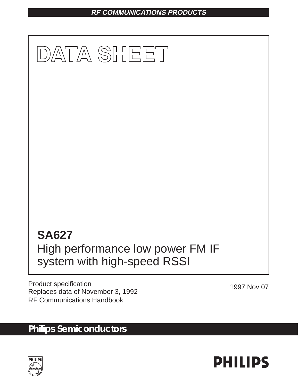## **RF COMMUNICATIONS PRODUCTS**



Product specification Product specification<br>Replaces data of November 3, 1992 RF Communications Handbook

# **Philips Semiconductors**



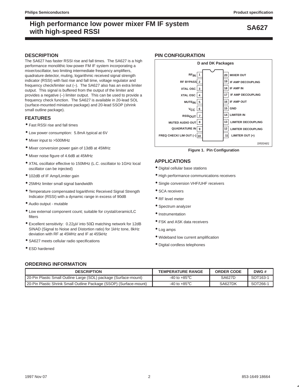## **DESCRIPTION**

The SA627 has faster RSSI rise and fall times. The SA627 is a high performance monolithic low-power FM IF system incorporating a mixer/oscillator, two limiting intermediate frequency amplifiers, quadrature detector, muting, logarithmic received signal strength indicator (RSSI) with fast rise and fall time, voltage regulator and frequency check/limiter out (–). The SA627 also has an extra limiter output. This signal is buffered from the output of the limiter and provides a negative (–) limiter output. This can be used to provide a frequency check function. The SA627 is available in 20-lead SOL (surface-mounted miniature package) and 20-lead SSOP (shrink small outline package).

## **FEATURES**

- Fast RSSI rise and fall times
- Low power consumption: 5.8mA typical at 6V
- Mixer input to >500MHz
- Mixer conversion power gain of 13dB at 45MHz
- Mixer noise figure of 4.6dB at 45MHz
- XTAL oscillator effective to 150MHz (L.C. oscillator to 1GHz local oscillator can be injected)
- 102dB of IF Amp/Limiter gain
- 25MHz limiter small signal bandwidth
- Temperature compensated logarithmic Received Signal Strength Indicator (RSSI) with a dynamic range in excess of 90dB
- Audio output mutable
- Low external component count; suitable for crystal/ceramic/LC filters
- Excellent sensitivity: 0.22µV into 50Ω matching network for 12dB SINAD (Signal to Noise and Distortion ratio) for 1kHz tone, 8kHz deviation with RF at 45MHz and IF at 455kHz
- SA627 meets cellular radio specifications
- ESD hardened

### **PIN CONFIGURATION**



**Figure 1. Pin Configuration**

## **APPLICATIONS**

- Digital cellular base stations
- High performance communications receivers
- Single conversion VHF/UHF receivers
- **SCA receivers**
- RF level meter
- Spectrum analyzer
- Instrumentation
- FSK and ASK data receivers
- Log amps
- Wideband low current amplification
- Digital cordless telephones

### **ORDERING INFORMATION**

| <b>DESCRIPTION</b>                                                 | <b>TEMPERATURE RANGE</b>        | <b>ORDER CODE</b> | DWG#      |
|--------------------------------------------------------------------|---------------------------------|-------------------|-----------|
| 20-Pin Plastic Small Outline Large (SOL) package (Surface-mount)   | -40 to +85 $^{\circ}$ C         | <b>SA627D</b>     | SOT163-1  |
| 20-Pin Plastic Shrink Small Outline Package (SSOP) (Surface-mount) | -40 to +85 $\mathrm{^{\circ}C}$ | SA627DK           | $SOT266-$ |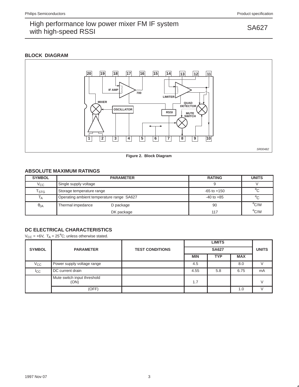## **BLOCK DIAGRAM**



**Figure 2. Block Diagram**

## **ABSOLUTE MAXIMUM RATINGS**

| <b>SYMBOL</b>               | <b>PARAMETER</b>                          | <b>RATING</b>   | <b>UNITS</b>       |
|-----------------------------|-------------------------------------------|-----------------|--------------------|
| $V_{\rm CC}$                | Single supply voltage                     |                 |                    |
| $\mathsf{T}_{\textsf{STG}}$ | Storage temperature range                 | $-65$ to $+150$ | $^{\circ}$ C       |
| 1 A                         | Operating ambient temperature range SA627 | $-40$ to $+85$  | $^{\circ}$ C       |
| $\theta$ JA                 | Thermal impedance<br>D package            | 90              | $\rm ^{\circ}$ C/W |
|                             | DK package                                | 117             | $\rm ^{\circ}$ C/W |

## **DC ELECTRICAL CHARACTERISTICS**

 $V_{CC}$  = +6V,  $T_A$  = 25<sup>°</sup>C; unless otherwise stated.

| <b>SYMBOL</b>  | <b>PARAMETER</b>                    | <b>TEST CONDITIONS</b> |            | <b>UNITS</b> |            |    |
|----------------|-------------------------------------|------------------------|------------|--------------|------------|----|
|                |                                     |                        | <b>MIN</b> | <b>TYP</b>   | <b>MAX</b> |    |
| $V_{\rm CC}$   | Power supply voltage range          |                        | 4.5        |              | 8.0        |    |
| <sub>ICC</sub> | DC current drain                    |                        | 4.55       | 5.8          | 6.75       | mA |
|                | Mute switch input threshold<br>(ON) |                        | 1.7        |              |            |    |
|                | (OFF)                               |                        |            |              | 1.0        |    |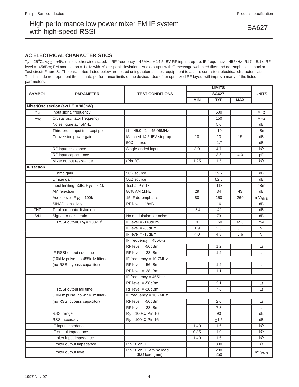## **AC ELECTRICAL CHARACTERISTICS**

 $T_A = 25^{\circ}$ C; V<sub>CC</sub> = +6V, unless otherwise stated. RF frequency = 45MHz + 14.5dBV RF input step-up; IF frequency = 455kHz; R17 = 5.1k; RF level = -45dBm; FM modulation = 1kHz with ±8kHz peak deviation. Audio output with C-message weighted filter and de-emphasis capacitor. Test circuit Figure 3. The parameters listed below are tested using automatic test equipment to assure consistent electrical characterristics. The limits do not represent the ultimate performance limits of the device. Use of an optimized RF layout will improve many of the listed parameters.

|                   |                                      |                                                    |             | <b>LIMITS</b> |            |                       |  |  |  |
|-------------------|--------------------------------------|----------------------------------------------------|-------------|---------------|------------|-----------------------|--|--|--|
| <b>SYMBOL</b>     | <b>PARAMETER</b>                     | <b>TEST CONDITIONS</b>                             |             | <b>SA627</b>  |            | <b>UNITS</b>          |  |  |  |
|                   |                                      |                                                    | <b>MIN</b>  | TYP           | <b>MAX</b> |                       |  |  |  |
|                   | Mixer/Osc section (ext LO = 300mV)   |                                                    |             |               |            |                       |  |  |  |
| $f_{\text{IN}}$   | Input signal frequency               |                                                    |             | 500           |            | <b>MHz</b>            |  |  |  |
| $f_{\rm OSC}$     | Crystal oscillator frequency         |                                                    |             | 150           |            | MHz                   |  |  |  |
|                   | Noise figure at 45MHz                |                                                    |             | 5.0           |            | dB                    |  |  |  |
|                   | Third-order input intercept point    | $f1 = 45.0$ ; $f2 = 45.06$ MHz                     |             | $-10$         |            | dBm                   |  |  |  |
|                   | Conversion power gain                | Matched 14.5dBV step-up                            | 10          | 13            | 15         | dB                    |  |  |  |
|                   |                                      | $50\Omega$ source                                  |             | $-1.7$        |            | dB                    |  |  |  |
|                   | RF input resistance                  | Single-ended input                                 | 3.0         | 4.7           |            | $k\Omega$             |  |  |  |
|                   | RF input capacitance                 |                                                    |             | 3.5           | 4.0        | pF                    |  |  |  |
|                   | Mixer output resistance              | (Pin 20)                                           | 1.25        | 1.5           |            | $k\Omega$             |  |  |  |
| <b>IF</b> section |                                      |                                                    |             |               |            |                       |  |  |  |
|                   | IF amp gain                          | $50\Omega$ source                                  |             | 39.7          |            | dB                    |  |  |  |
|                   | Limiter gain                         | $50\Omega$ source                                  |             | 62.5          |            | dB                    |  |  |  |
|                   | Input limiting -3dB, $R_{17} = 5.1k$ | Test at Pin 18                                     |             | $-113$        |            | dBm                   |  |  |  |
|                   | AM rejection                         | 80% AM 1kHz                                        | 29          | 34            | 43         | dB                    |  |  |  |
|                   | Audio level, $R_{10} = 100k$         | 15nF de-emphasis                                   | 80          | 150           | 260        | $\overline{m}V_{RMS}$ |  |  |  |
|                   | SINAD sensitivity                    | RF level -118dB                                    |             | 16            |            | dB                    |  |  |  |
| THD               | Total harmonic distortion            |                                                    | $-34$       | $-42$         |            | dB                    |  |  |  |
| S/N               | Signal-to-noise ratio                | No modulation for noise                            |             | 73            |            | dB                    |  |  |  |
|                   | IF RSSI output, $R_9 = 100k\Omega^1$ | IF level $= -118$ dBm                              | $\mathbf 0$ | 160           | 650        | mV                    |  |  |  |
|                   |                                      | IF level $= -68d$ Bm                               | 1.9         | 2.5           | 3.1        | $\vee$                |  |  |  |
|                   |                                      | IF level $= -18$ dBm                               | 4.0         | 4.8           | 5.6        | $\vee$                |  |  |  |
|                   |                                      | IF frequency = 455kHz                              |             |               |            |                       |  |  |  |
|                   |                                      | $RF$ level = -56dBm                                |             | 1.2           |            | μs                    |  |  |  |
|                   | IF RSSI output rise time             | $RF$ level = -28dBm                                |             | 1.2           |            | μs                    |  |  |  |
|                   | (10kHz pulse, no 455kHz filter)      | IF frequency $= 10.7$ MHz                          |             |               |            |                       |  |  |  |
|                   | (no RSSI bypass capacitor)           | $RF$ level = -56dBm                                |             | 1.2           |            | $\mu$ s               |  |  |  |
|                   |                                      | $RF$ level = -28dBm                                |             | 1.1           |            | $\mu$ s               |  |  |  |
|                   |                                      | IF frequency = 455kHz                              |             |               |            |                       |  |  |  |
|                   |                                      | $RF$ level = -56dBm                                |             | 2.1           |            | μs                    |  |  |  |
|                   | IF RSSI output fall time             | $RF$ level = -28dBm                                |             | 7.6           |            | μs                    |  |  |  |
|                   | (10kHz pulse, no 455kHz filter)      | IF frequency = 10.7MHz                             |             |               |            |                       |  |  |  |
|                   | (no RSSI bypass capacitor)           | $RF$ level = -56dBm                                |             | 2.0           |            | μs                    |  |  |  |
|                   |                                      | $RF$ level = -28dBm                                |             | 7.3           |            | $\mu s$               |  |  |  |
|                   | RSSI range                           | $R_9$ = 100k $\Omega$ Pin 16                       |             | 90            |            | dB                    |  |  |  |
|                   | RSSI accuracy                        | $R_9$ = 100k $\Omega$ Pin 16                       |             | ±1.5          |            | dB                    |  |  |  |
|                   | IF input impedance                   |                                                    | 1.40        | 1.6           |            | $k\Omega$             |  |  |  |
|                   | IF output impedance                  |                                                    | 0.85        | 1.0           |            | k $\Omega$            |  |  |  |
|                   | Limiter input impedance              |                                                    | 1.40        | 1.6           |            | k $\Omega$            |  |  |  |
|                   | Limiter output impedance             | Pin 10 or 11                                       |             | 300           |            | $\Omega$              |  |  |  |
|                   | Limiter output level                 | Pin 10 or 11 with no load<br>$3k\Omega$ load (min) |             | 280<br>250    |            | mV <sub>RMS</sub>     |  |  |  |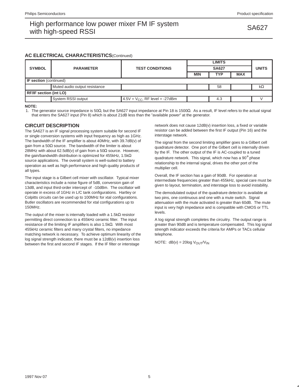### **AC ELECTRICAL CHARACTERISTICS**(Continued)

|                               |                               |                                     |            | <b>UNITS</b> |            |    |  |  |  |  |
|-------------------------------|-------------------------------|-------------------------------------|------------|--------------|------------|----|--|--|--|--|
| <b>SYMBOL</b>                 | <b>PARAMETER</b>              | <b>TEST CONDITIONS</b>              |            |              |            |    |  |  |  |  |
|                               |                               |                                     | <b>MIN</b> | <b>TYP</b>   | <b>MAX</b> |    |  |  |  |  |
| <b>IF section</b> (continued) |                               |                                     |            |              |            |    |  |  |  |  |
|                               | Muted audio output resistance |                                     |            | 58           |            | kΩ |  |  |  |  |
| <b>RF/IF section (int LO)</b> |                               |                                     |            |              |            |    |  |  |  |  |
|                               | System RSSI output            | $4.5V = V_{CC}$ , RF level = -27dBm |            | 4.3          |            |    |  |  |  |  |

### **NOTE:**

1. The generator source impedance is 50Ω, but the SA627 input impedance at Pin 18 is 1500Ω. As a result, IF level refers to the actual signal that enters the SA627 input (Pin 8) which is about 21dB less than the "available power" at the generator.

### **CIRCUIT DESCRIPTION**

The SA627 is an IF signal processing system suitable for second IF or single conversion systems with input frequency as high as 1GHz. The bandwidth of the IF amplifier is about 40MHz, with 39.7dB(v) of gain from a 50 $\Omega$  source. The bandwidth of the limiter is about 28MHz with about 62.5dB(v) of gain from a 50 $\Omega$  source. However, the gain/bandwidth distribution is optimized for 455kHz, 1.5kΩ source applications. The overall system is well-suited to battery operation as well as high performance and high quality products of all types.

The input stage is a Gilbert cell mixer with oscillator. Typical mixer characteristics include a noise figure of 5dB, conversion gain of 13dB, and input third-order intercept of -10dBm. The oscillator will operate in excess of 1GHz in L/C tank configurations. Hartley or Colpitts circuits can be used up to 100MHz for xtal configurations. Butler oscillators are recommended for xtal configurations up to 150MHz.

The output of the mixer is internally loaded with a 1.5kΩ resistor permitting direct connection to a 455kHz ceramic filter. The input resistance of the limiting IF amplifiers is also 1.5kΩ. With most 455kHz ceramic filters and many crystal filters, no impedance matching network is necessary. To achieve optimum linearity of the log signal strength indicator, there must be a 12dB(v) insertion loss between the first and second IF stages. If the IF filter or interstage

network does not cause 12dB(v) insertion loss, a fixed or variable resistor can be added between the first IF output (Pin 16) and the interstage network.

The signal from the second limiting amplifier goes to a Gilbert cell quadrature detector. One port of the Gilbert cell is internally driven by the IF. The other output of the IF is AC-coupled to a tuned quadrature network. This signal, which now has a 90° phase relationship to the internal signal, drives the other port of the multiplier cell.

Overall, the IF section has a gain of 90dB. For operation at intermediate frequencies greater than 455kHz, special care must be given to layout, termination, and interstage loss to avoid instability.

The demodulated output of the quadrature detector is available at two pins, one continuous and one with a mute switch. Signal attenuation with the mute activated is greater than 60dB. The mute input is very high impedance and is compatible with CMOS or TTL levels.

A log signal strength completes the circuitry. The output range is greater than 90dB and is temperature compensated. This log signal strength indicator exceeds the criteria for AMPs or TACs cellular telephone.

NOTE:  $dB(v) = 20log V<sub>OUT</sub>/V<sub>IN</sub>$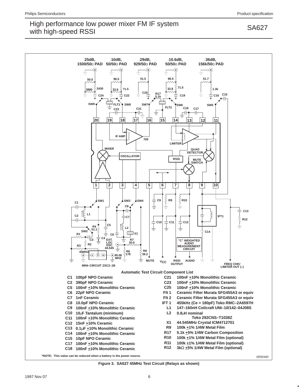

**Figure 3. SA627 45MHz Test Circuit (Relays as shown)**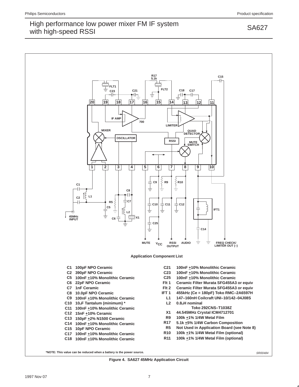

### **Figure 4. SA627 45MHz Application Circuit**

1997 Nov 07 7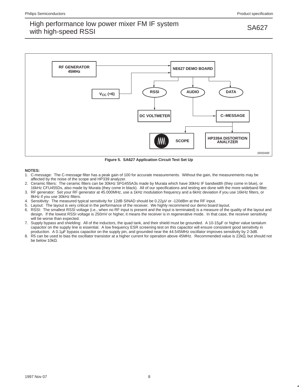

**Figure 5. SA627 Application Circuit Test Set Up**

### **NOTES:**

- 1. C-message: The C-message filter has a peak gain of 100 for accurate measurements. Without the gain, the measurements may be affected by the noise of the scope and HP339 analyzer.
- 2. Ceramic filters: The ceramic filters can be 30kHz SFG455A3s made by Murata which have 30kHz IF bandwidth (they come in blue), or 16kHz CFU455Ds, also made by Murata (they come in black). All of our specifications and testing are done with the more wideband filter.
- 3. RF generator: Set your RF generator at 45.000MHz, use a 1kHz modulation frequency and a 6kHz deviation if you use 16kHz filters, or 8kHz if you use 30kHz filters.
- 4. Sensitivity: The measured typical sensitivity for 12dB SINAD should be 0.22µV or -120dBm at the RF input.
- 5. Layout: The layout is very critical in the performance of the receiver. We highly recommend our demo board layout.
- 6. RSSI: The smallest RSSI voltage (i.e., when no RF input is present and the input is terminated) is a measure of the quality of the layout and design. If the lowest RSSI voltage is 250mV or higher, it means the receiver is in regenerative mode. In that case, the receiver sensitivity will be worse than expected.
- 7. Supply bypass and shielding: All of the inductors, the quad tank, and their shield must be grounded. A 10-15µF or higher value tantalum capacitor on the supply line is essential. A low frequency ESR screening test on this capacitor will ensure consistent good sensitivity in production. A 0.1µF bypass capacitor on the supply pin, and grounded near the 44.545MHz oscillator improves sensitivity by 2-3dB.
- 8. R5 can be used to bias the oscillator transistor at a higher current for operation above 45MHz. Recommended value is 22kΩ, but should not be below 10kΩ.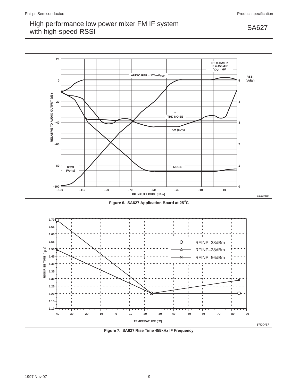## High performance low power mixer FM IF system<br>still high area d DOOL with high-speed RSSI



**Figure 6. SA627 Application Board at 25**°**C**



**Figure 7. SA627 Rise Time 455kHz IF Frequency**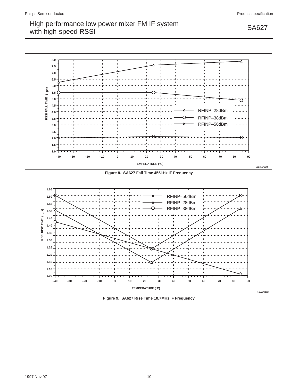

**Figure 8. SA627 Fall Time 455kHz IF Frequency**



**Figure 9. SA627 Rise Time 10.7MHz IF Frequency**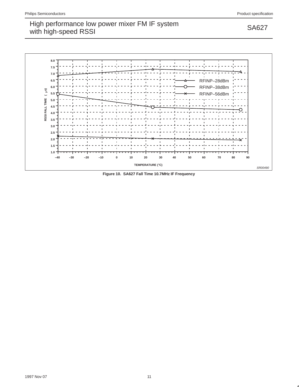

**Figure 10. SA627 Fall Time 10.7MHz IF Frequency**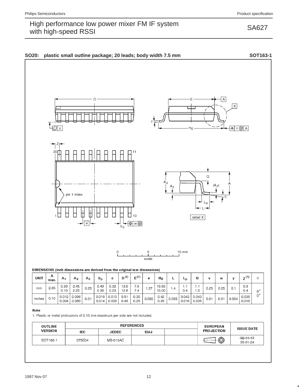SA627



### DIMENSIONS (inch dimensions are derived from the original mm dimensions)

| UNIT   | А<br>max. | A۱             | A <sub>2</sub> | A3   | $b_{p}$        |                | n (1)        | $=$ $(1)$    | е                                 | HΕ            |            | ⊾ո    |                        | v    | w    |       | (1)            | θ           |
|--------|-----------|----------------|----------------|------|----------------|----------------|--------------|--------------|-----------------------------------|---------------|------------|-------|------------------------|------|------|-------|----------------|-------------|
| mm     | 2.65      | 0.30<br>0.10   | 2.45<br>2.25   | 0.25 | 0.49<br>0.36   | 0.32<br>0.23   | 13.0<br>12.6 | 7.6<br>7,4   | . 27                              | 0.65<br>10.00 | $\ldots$ 4 | 0.4   | 0.،                    | 0.25 | 0.25 | 0.1   | 0.9<br>0.4     | $8^{\circ}$ |
| inches | 0.10      | 0.012<br>0.004 | 0.096<br>0.089 | 0.01 | 0.019<br>0.014 | 0.013<br>0.009 | 0.51<br>0.49 | 0.30<br>0.29 | $0.050$ <sup><math>+</math></sup> | 0.42<br>0.39  | 0.055      | 0.016 | $0.043$ 0.043<br>0.039 | 0.01 | 0.01 | 0.004 | 0.035<br>0.016 | $0^{\circ}$ |

scale

### Note

1. Plastic or metal protrusions of 0.15 mm maximum per side are not included.

| <b>OUTLINE</b> |            |                 | <b>REFERENCES</b> | <b>EUROPEAN</b> | <b>ISSUE DATE</b> |                             |  |
|----------------|------------|-----------------|-------------------|-----------------|-------------------|-----------------------------|--|
| <b>VERSION</b> | <b>IEC</b> | <b>JEDEC</b>    | <b>EIAJ</b>       |                 | <b>PROJECTION</b> |                             |  |
| SOT163-1       | 075E04     | <b>MS-013AC</b> |                   |                 | ⊕                 | $-92 - 11 - 17$<br>95-01-24 |  |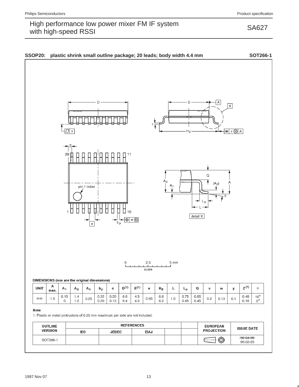SA627

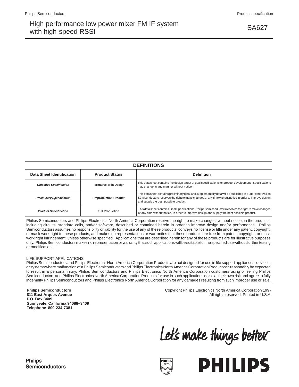SA627

| <b>DEFINITIONS</b>               |                              |                                                                                                                                                                                                                                                                  |  |  |  |  |  |  |  |
|----------------------------------|------------------------------|------------------------------------------------------------------------------------------------------------------------------------------------------------------------------------------------------------------------------------------------------------------|--|--|--|--|--|--|--|
| Data Sheet Identification        | <b>Product Status</b>        | <b>Definition</b>                                                                                                                                                                                                                                                |  |  |  |  |  |  |  |
| <b>Objective Specification</b>   | Formative or in Design       | This data sheet contains the design target or goal specifications for product development. Specifications<br>may change in any manner without notice.                                                                                                            |  |  |  |  |  |  |  |
| <b>Preliminary Specification</b> | <b>Preproduction Product</b> | This data sheet contains preliminary data, and supplementary data will be published at a later date. Philips<br>Semiconductors reserves the right to make changes at any time without notice in order to improve design<br>and supply the best possible product. |  |  |  |  |  |  |  |
| <b>Product Specification</b>     | <b>Full Production</b>       | This data sheet contains Final Specifications. Philips Semiconductors reserves the right to make changes<br>at any time without notice, in order to improve design and supply the best possible product.                                                         |  |  |  |  |  |  |  |

Philips Semiconductors and Philips Electronics North America Corporation reserve the right to make changes, without notice, in the products, including circuits, standard cells, and/or software, described or contained herein in order to improve design and/or performance. Philips Semiconductors assumes no responsibility or liability for the use of any of these products, conveys no license or title under any patent, copyright, or mask work right to these products, and makes no representations or warranties that these products are free from patent, copyright, or mask work right infringement, unless otherwise specified. Applications that are described herein for any of these products are for illustrative purposes only. Philips Semiconductors makes no representation or warranty that such applications will be suitable for the specified use without further testing or modification.

### LIFE SUPPORT APPLICATIONS

Philips Semiconductors and Philips Electronics North America Corporation Products are not designed for use in life support appliances, devices, or systems where malfunction of a Philips Semiconductors and Philips Electronics North America Corporation Product can reasonably be expected to result in a personal injury. Philips Semiconductors and Philips Electronics North America Corporation customers using or selling Philips Semiconductors and Philips Electronics North America Corporation Products for use in such applications do so at their own risk and agree to fully indemnify Philips Semiconductors and Philips Electronics North America Corporation for any damages resulting from such improper use or sale.

**Philips Semiconductors 811 East Arques Avenue P.O. Box 3409 Sunnyvale, California 94088–3409 Telephone 800-234-7381**

 Copyright Philips Electronics North America Corporation 1997 All rights reserved. Printed in U.S.A.

Let's make things better.



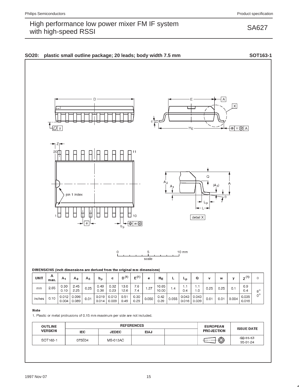SA627



### DIMENSIONS (inch dimensions are derived from the original mm dimensions)

| <b>UNIT</b> | А<br>max. | А,             | A <sub>2</sub> | $A_3$ | $p_{p}$        |                | n (1)        | $\mathbf{r}$ (1) | е     | Н <sub>Ε</sub> |       | ⊾ո    |                        | v    | w    |       | (1)            | θ           |
|-------------|-----------|----------------|----------------|-------|----------------|----------------|--------------|------------------|-------|----------------|-------|-------|------------------------|------|------|-------|----------------|-------------|
| mm          | 2.65      | 0.30<br>0.10   | 2.45<br>2.25   | 0.25  | 0.49<br>0.36   | 0.32<br>0.23   | 13.0<br>12.6 | 7.6<br>7.4       | . 27  | 10.65<br>10.00 | 4.،   | 0.4   | 0. ا                   | 0.25 | 0.25 | 0.    | 0.9<br>0,4     | $8^{\circ}$ |
| inches      | 0.10      | 0.012<br>0.004 | 0.096<br>0.089 | 0.01  | 0.019<br>0.014 | 0.013<br>0.009 | 0.51<br>0.49 | 0.30<br>0.29     | 0.050 | 0.42<br>0.39   | 0.055 | 0.016 | $0.043$ 0.043<br>0.039 | 0.01 | 0.01 | 0.004 | 0.035<br>0.016 | $0^{\circ}$ |

scale

### Note

1. Plastic or metal protrusions of 0.15 mm maximum per side are not included.

| <b>OUTLINE</b> |            |                 | <b>REFERENCES</b> | <b>EUROPEAN</b>   | <b>ISSUE DATE</b>           |  |
|----------------|------------|-----------------|-------------------|-------------------|-----------------------------|--|
| <b>VERSION</b> | <b>IEC</b> | <b>JEDEC</b>    | <b>EIAJ</b>       | <b>PROJECTION</b> |                             |  |
| SOT163-1       | 075E04     | <b>MS-013AC</b> |                   | ⊕                 | $-92 - 11 - 17$<br>95-01-24 |  |